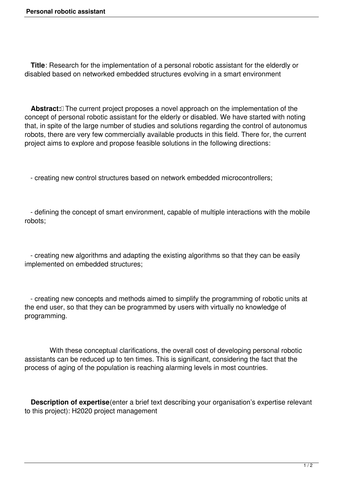**Title**: Research for the implementation of a personal robotic assistant for the elderdly or disabled based on networked embedded structures evolving in a smart environment

Abstract:<sup>[]</sup> The current project proposes a novel approach on the implementation of the concept of personal robotic assistant for the elderly or disabled. We have started with noting that, in spite of the large number of studies and solutions regarding the control of autonomus robots, there are very few commercially available products in this field. There for, the current project aims to explore and propose feasible solutions in the following directions:

- creating new control structures based on network embedded microcontrollers;

 - defining the concept of smart environment, capable of multiple interactions with the mobile robots;

 - creating new algorithms and adapting the existing algorithms so that they can be easily implemented on embedded structures;

 - creating new concepts and methods aimed to simplify the programming of robotic units at the end user, so that they can be programmed by users with virtually no knowledge of programming.

 With these conceptual clarifications, the overall cost of developing personal robotic assistants can be reduced up to ten times. This is significant, considering the fact that the process of aging of the population is reaching alarming levels in most countries.

 **Description of expertise**(enter a brief text describing your organisation's expertise relevant to this project): H2020 project management